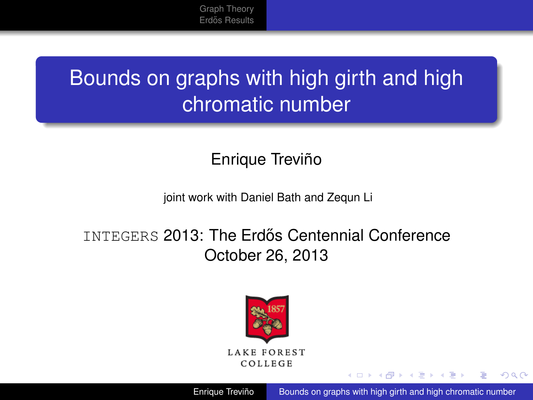[Graph Theory](#page-1-0) Erdős Results

# <span id="page-0-0"></span>Bounds on graphs with high girth and high chromatic number

#### Enrique Treviño

#### joint work with Daniel Bath and Zequn Li

#### INTEGERS 2013: The Erdős Centennial Conference October 26, 2013



Enrique Treviño [Bounds on graphs with high girth and high chromatic number](#page-12-0)

イロメ イ何 メイヨメ イヨメ

 $2Q$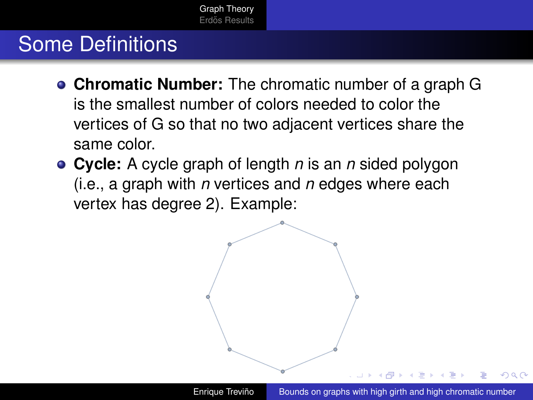### <span id="page-1-0"></span>Some Definitions

- **Chromatic Number:** The chromatic number of a graph G is the smallest number of colors needed to color the vertices of G so that no two adjacent vertices share the same color.
- **Cycle:** A cycle graph of length *n* is an *n* sided polygon (i.e., a graph with *n* vertices and *n* edges where each vertex has degree 2). Example:



つひへ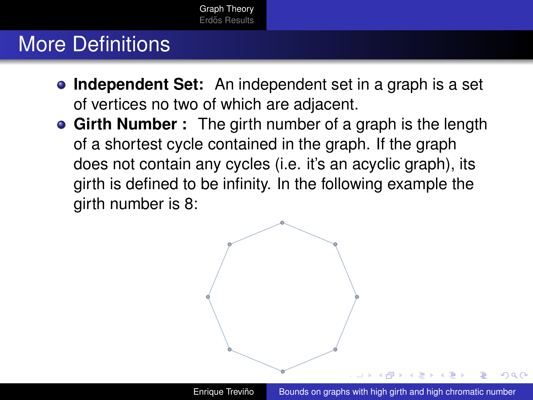## More Definitions

- **Independent Set:** An independent set in a graph is a set of vertices no two of which are adjacent.
- **Girth Number :** The girth number of a graph is the length of a shortest cycle contained in the graph. If the graph does not contain any cycles (i.e. it's an acyclic graph), its girth is defined to be infinity. In the following example the girth number is 8:

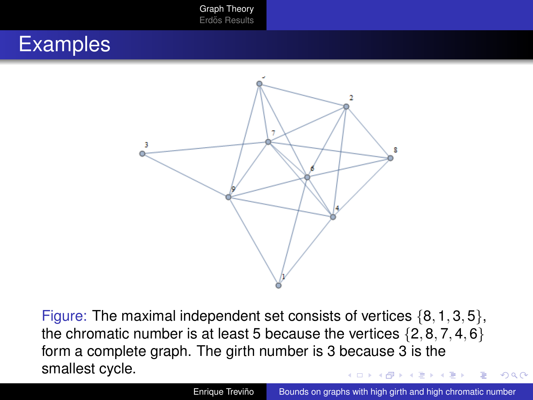[Graph Theory](#page-1-0) Erdős Results

#### **Examples**



Figure: The maximal independent set consists of vertices  $\{8, 1, 3, 5\}$ , the chromatic number is at least 5 because the vertices  $\{2, 8, 7, 4, 6\}$ form a complete graph. The girth number is 3 because 3 is the smallest cycle.

 $2Q$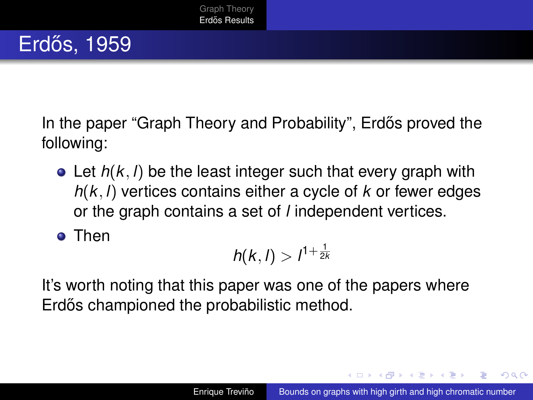# <span id="page-4-0"></span>Erdős, 1959

In the paper "Graph Theory and Probability", Erdős proved the following:

Let *h*(*k*, *l*) be the least integer such that every graph with *h*(*k*, *l*) vertices contains either a cycle of *k* or fewer edges or the graph contains a set of *l* independent vertices.

**o** Then

$$
h(k,l) > l^{1+\frac{1}{2k}}
$$

It's worth noting that this paper was one of the papers where Erdős championed the probabilistic method.

**≮ロト ⊀ 何 ト ⊀ ヨ ト ⊀ ヨ ト** 

 $2Q$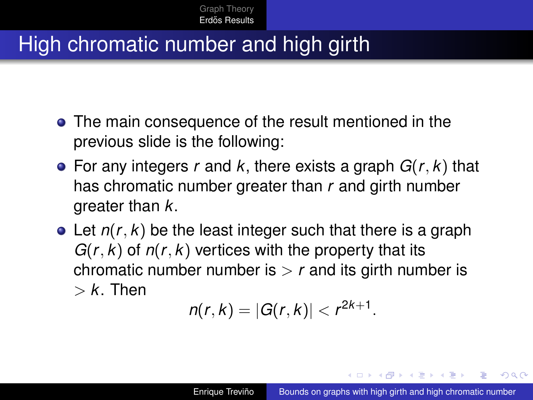### High chromatic number and high girth

- The main consequence of the result mentioned in the previous slide is the following:
- For any integers *r* and *k*, there exists a graph *G*(*r*, *k*) that has chromatic number greater than *r* and girth number greater than *k*.
- Let *n*(*r*, *k*) be the least integer such that there is a graph  $G(r, k)$  of  $n(r, k)$  vertices with the property that its chromatic number number is  $\geq r$  and its girth number is  $> k$ . Then

$$
n(r, k) = |G(r, k)| < r^{2k+1}.
$$

イロメ イ何 メイヨメ イヨメ

 $\Omega$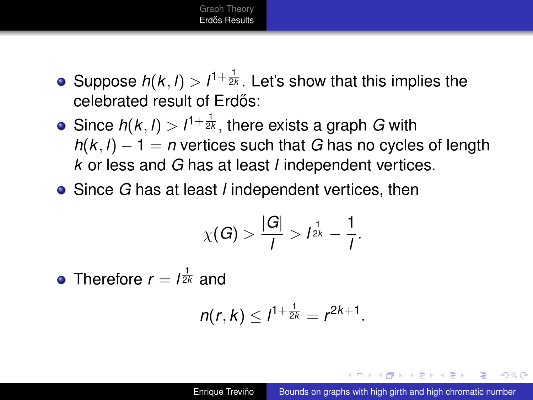

- Suppose  $h(k, l) > l^{1+\frac{1}{2k}}$ . Let's show that this implies the celebrated result of Erdős:
- Since  $h(k, l) > l^{1+\frac{1}{2k}}$ , there exists a graph *G* with  $h(k, l) - 1 = n$  vertices such that *G* has no cycles of length *k* or less and *G* has at least *l* independent vertices.
- Since *G* has at least *l* independent vertices, then

$$
\chi(G) > \frac{|G|}{I} > I^{\frac{1}{2k}} - \frac{1}{I}.
$$

Therefore  $r = l^{\frac{1}{2k}}$  and

$$
n(r,k) \leq l^{1+\frac{1}{2k}} = r^{2k+1}.
$$

 $\left\{ \left\{ \bigoplus_{i=1}^{n} x_i \right\} \in \mathbb{R} \right\}$  is a finite

 $QQ$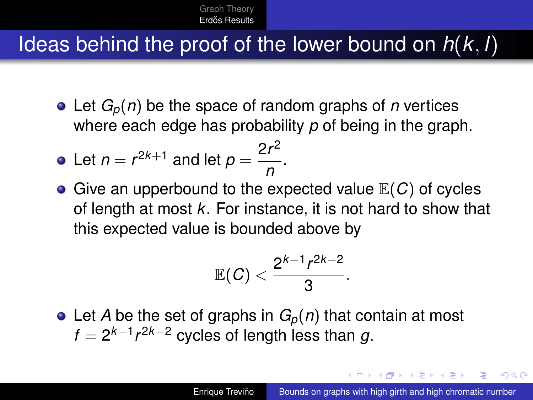### Ideas behind the proof of the lower bound on *h*(*k*, *l*)

• Let  $G_p(n)$  be the space of random graphs of *n* vertices where each edge has probability *p* of being in the graph.

• Let 
$$
n = r^{2k+1}
$$
 and let  $p = \frac{2r^2}{n}$ .

**•** Give an upperbound to the expected value  $\mathbb{E}(C)$  of cycles of length at most *k*. For instance, it is not hard to show that this expected value is bounded above by

$$
\mathbb{E}(\mathcal{C})<\frac{2^{k-1}r^{2k-2}}{3}.
$$

• Let *A* be the set of graphs in  $G_p(n)$  that contain at most  $f = 2^{k-1} r^{2k-2}$  cycles of length less than g.

K ロ ⊁ K 何 ≯ K ヨ ⊁ K ヨ ⊁

つひへ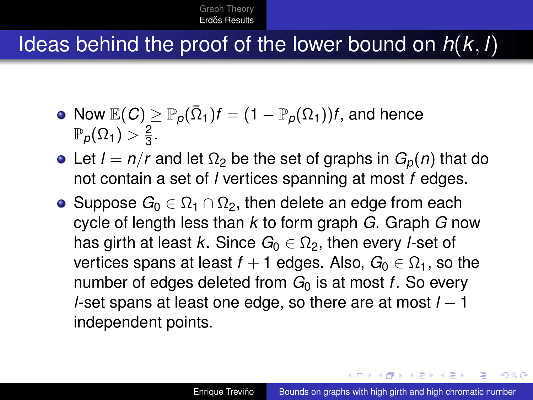### Ideas behind the proof of the lower bound on *h*(*k*, *l*)

- ${\mathbb R}(C) \geq {\mathbb P}_\rho(\bar \Omega_1)f = (1-{\mathbb P}_\rho(\Omega_1))f,$  and hence  $\mathbb{P}_\rho(\Omega_1) > \frac{2}{3}$  $\frac{2}{3}$ .
- Let  $l = n/r$  and let  $\Omega_2$  be the set of graphs in  $G_p(n)$  that do not contain a set of *l* vertices spanning at most *f* edges.
- Suppose  $G_0 \n\in \Omega_1 \cap \Omega_2$ , then delete an edge from each cycle of length less than *k* to form graph *G*. Graph *G* now has girth at least *k*. Since  $G_0 \n\in \Omega_2$ , then every *l*-set of vertices spans at least  $f + 1$  edges. Also,  $G_0 \in \Omega_1$ , so the number of edges deleted from  $G_0$  is at most *f*. So every *l*-set spans at least one edge, so there are at most *l* − 1 independent points.

**≮ロト ⊀ 何 ト ⊀ ヨ ト ⊀ ヨ ト** 

 $\Omega$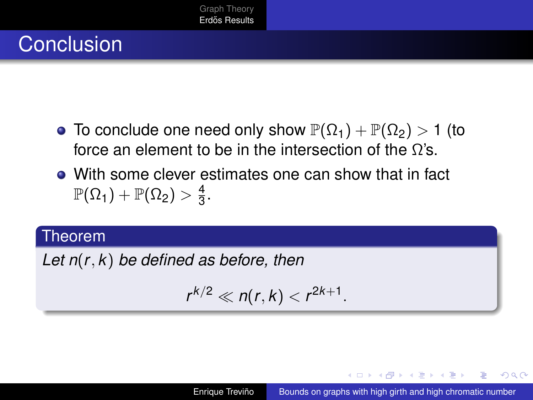# **Conclusion**

- To conclude one need only show  $\mathbb{P}(\Omega_1) + \mathbb{P}(\Omega_2) > 1$  (to force an element to be in the intersection of the Ω's.
- With some clever estimates one can show that in fact  $\mathbb{P}(\Omega_1)+\mathbb{P}(\Omega_2)>\frac{4}{3}$  $\frac{4}{3}$ .

#### Theorem

*Let n*(*r*, *k*) *be defined as before, then*

$$
r^{k/2}\ll n(r,k)
$$

K ロ ⊁ K 何 ≯ K ヨ ⊁ K ヨ ⊁

 $QQ$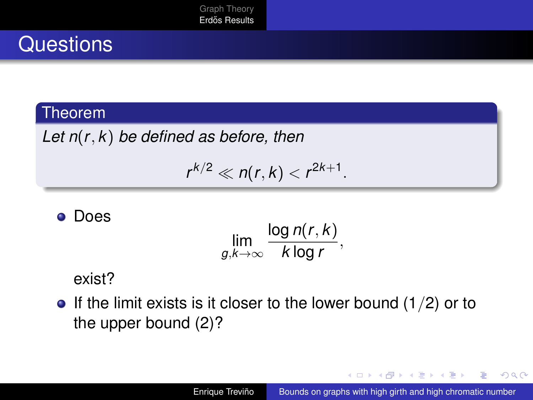## **Questions**

#### **Theorem**

*Let n*(*r*, *k*) *be defined as before, then*

$$
r^{k/2}\ll n(r,k)
$$

#### **o** Does

$$
\lim_{g,k\to\infty}\frac{\log n(r,k)}{k\log r},
$$

#### exist?

 $\bullet$  If the limit exists is it closer to the lower bound (1/2) or to the upper bound (2)?

イロト イ伊 トイヨ トイヨト

÷.  $QQ$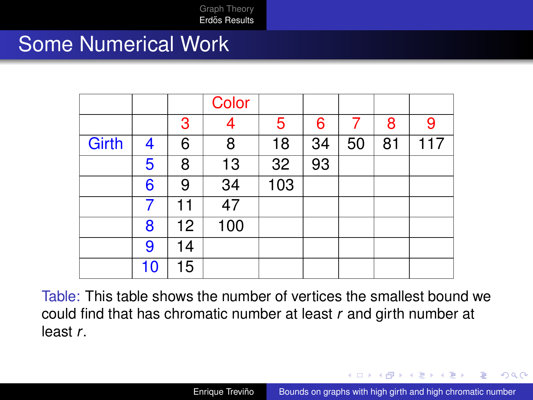#### Some Numerical Work

|              |    |    | Color |     |    |    |    |     |
|--------------|----|----|-------|-----|----|----|----|-----|
|              |    | 3  | 4     | 5   | 6  |    | 8  | 9   |
| <b>Girth</b> | 4  | 6  | 8     | 18  | 34 | 50 | 81 | 117 |
|              | 5  | 8  | 13    | 32  | 93 |    |    |     |
|              | 6  | 9  | 34    | 103 |    |    |    |     |
|              |    | 11 | 47    |     |    |    |    |     |
|              | 8  | 12 | 100   |     |    |    |    |     |
|              | 9  | 14 |       |     |    |    |    |     |
|              | 10 | 15 |       |     |    |    |    |     |

Table: This table shows the number of vertices the smallest bound we could find that has chromatic number at least *r* and girth number at least *r*.

イロメ イ押 メイヨメ イヨメ

 $2Q$ 

э